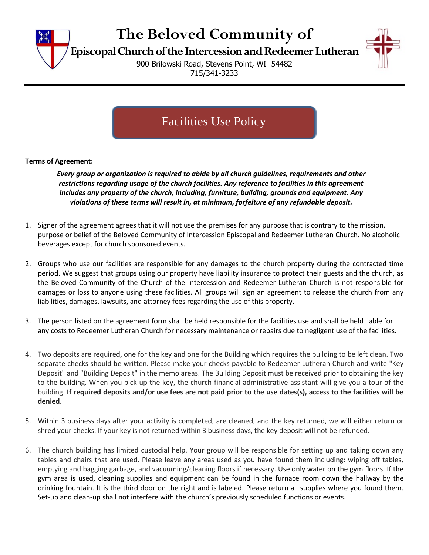

# **The Beloved Community of**

**Episcopal Church of the Intercessionand Redeemer Lutheran**

900 Brilowski Road, Stevens Point, WI 54482 715/341-3233



## Facilities Use Policy

#### **Terms of Agreement:**

*Every group or organization is required to abide by all church guidelines, requirements and other restrictions regarding usage of the church facilities. Any reference to facilities in this agreement includes any property of the church, including, furniture, building, grounds and equipment. Any violations of these terms will result in, at minimum, forfeiture of any refundable deposit.*

- 1. Signer of the agreement agrees that it will not use the premises for any purpose that is contrary to the mission, purpose or belief of the Beloved Community of Intercession Episcopal and Redeemer Lutheran Church. No alcoholic beverages except for church sponsored events.
- 2. Groups who use our facilities are responsible for any damages to the church property during the contracted time period. We suggest that groups using our property have liability insurance to protect their guests and the church, as the Beloved Community of the Church of the Intercession and Redeemer Lutheran Church is not responsible for damages or loss to anyone using these facilities. All groups will sign an agreement to release the church from any liabilities, damages, lawsuits, and attorney fees regarding the use of this property.
- 3. The person listed on the agreement form shall be held responsible for the facilities use and shall be held liable for any costs to Redeemer Lutheran Church for necessary maintenance or repairs due to negligent use of the facilities.
- 4. Two deposits are required, one for the key and one for the Building which requires the building to be left clean. Two separate checks should be written. Please make your checks payable to Redeemer Lutheran Church and write "Key Deposit" and "Building Deposit" in the memo areas. The Building Deposit must be received prior to obtaining the key to the building. When you pick up the key, the church financial administrative assistant will give you a tour of the building. **If required deposits and/or use fees are not paid prior to the use dates(s), access to the facilities will be denied.**
- 5. Within 3 business days after your activity is completed, are cleaned, and the key returned, we will either return or shred your checks. If your key is not returned within 3 business days, the key deposit will not be refunded.
- 6. The church building has limited custodial help. Your group will be responsible for setting up and taking down any tables and chairs that are used. Please leave any areas used as you have found them including: wiping off tables, emptying and bagging garbage, and vacuuming/cleaning floors if necessary. Use only water on the gym floors. If the gym area is used, cleaning supplies and equipment can be found in the furnace room down the hallway by the drinking fountain. It is the third door on the right and is labeled. Please return all supplies where you found them. Set-up and clean-up shall not interfere with the church's previously scheduled functions or events.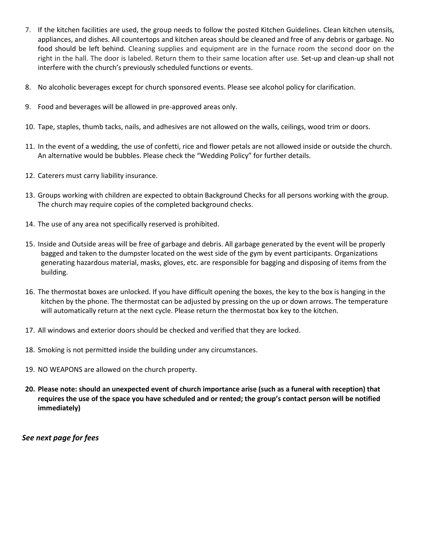- 7. If the kitchen facilities are used, the group needs to follow the posted Kitchen Guidelines. Clean kitchen utensils, appliances, and dishes. All countertops and kitchen areas should be cleaned and free of any debris or garbage. No food should be left behind. Cleaning supplies and equipment are in the furnace room the second door on the right in the hall. The door is labeled. Return them to their same location after use. Set-up and clean-up shall not interfere with the church's previously scheduled functions or events.
- 8. No alcoholic beverages except for church sponsored events. Please see alcohol policy for clarification.
- 9. Food and beverages will be allowed in pre-approved areas only.
- 10. Tape, staples, thumb tacks, nails, and adhesives are not allowed on the walls, ceilings, wood trim or doors.
- 11. In the event of a wedding, the use of confetti, rice and flower petals are not allowed inside or outside the church. An alternative would be bubbles. Please check the "Wedding Policy" for further details.
- 12. Caterers must carry liability insurance.
- 13. Groups working with children are expected to obtain Background Checks for all persons working with the group. The church may require copies of the completed background checks.
- 14. The use of any area not specifically reserved is prohibited.
- 15. Inside and Outside areas will be free of garbage and debris. All garbage generated by the event will be properly bagged and taken to the dumpster located on the west side of the gym by event participants. Organizations generating hazardous material, masks, gloves, etc. are responsible for bagging and disposing of items from the building.
- 16. The thermostat boxes are unlocked. If you have difficult opening the boxes, the key to the box is hanging in the kitchen by the phone. The thermostat can be adjusted by pressing on the up or down arrows. The temperature will automatically return at the next cycle. Please return the thermostat box key to the kitchen.
- 17. All windows and exterior doors should be checked and verified that they are locked.
- 18. Smoking is not permitted inside the building under any circumstances.
- 19. NO WEAPONS are allowed on the church property.
- **20. Please note: should an unexpected event of church importance arise (such as a funeral with reception) that requires the use of the space you have scheduled and or rented; the group's contact person will be notified immediately)**

*See next page for fees*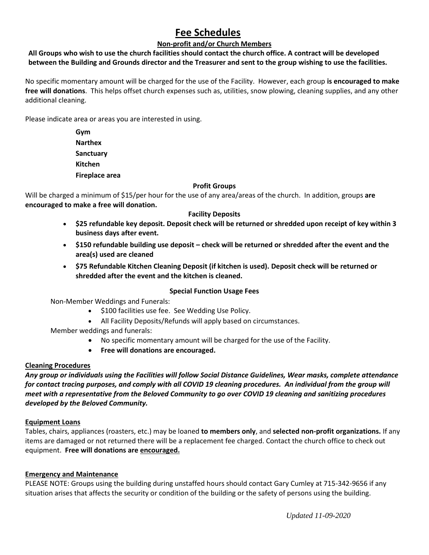### **Fee Schedules**

#### **Non-profit and/or Church Members**

#### **All Groups who wish to use the church facilities should contact the church office. A contract will be developed between the Building and Grounds director and the Treasurer and sent to the group wishing to use the facilities.**

No specific momentary amount will be charged for the use of the Facility. However, each group **is encouraged to make free will donations**. This helps offset church expenses such as, utilities, snow plowing, cleaning supplies, and any other additional cleaning.

Please indicate area or areas you are interested in using.

**Gym Narthex Sanctuary Kitchen Fireplace area**

#### **Profit Groups**

Will be charged a minimum of \$15/per hour for the use of any area/areas of the church. In addition, groups **are encouraged to make a free will donation.**

#### **Facility Deposits**

- **\$25 refundable key deposit. Deposit check will be returned or shredded upon receipt of key within 3 business days after event.**
- **\$150 refundable building use deposit – check will be returned or shredded after the event and the area(s) used are cleaned**
- **\$75 Refundable Kitchen Cleaning Deposit (if kitchen is used). Deposit check will be returned or shredded after the event and the kitchen is cleaned.**

#### **Special Function Usage Fees**

Non-Member Weddings and Funerals:

- \$100 facilities use fee. See Wedding Use Policy.
- All Facility Deposits/Refunds will apply based on circumstances.
- Member weddings and funerals:
	- No specific momentary amount will be charged for the use of the Facility.
	- **Free will donations are encouraged.**

#### **Cleaning Procedures**

*Any group or individuals using the Facilities will follow Social Distance Guidelines, Wear masks, complete attendance for contact tracing purposes, and comply with all COVID 19 cleaning procedures. An individual from the group will meet with a representative from the Beloved Community to go over COVID 19 cleaning and sanitizing procedures developed by the Beloved Community.*

#### **Equipment Loans**

Tables, chairs, appliances (roasters, etc.) may be loaned **to members only**, and **selected non-profit organizations.** If any items are damaged or not returned there will be a replacement fee charged. Contact the church office to check out equipment. **Free will donations are encouraged.**

#### **Emergency and Maintenance**

PLEASE NOTE: Groups using the building during unstaffed hours should contact Gary Cumley at 715-342-9656 if any situation arises that affects the security or condition of the building or the safety of persons using the building.